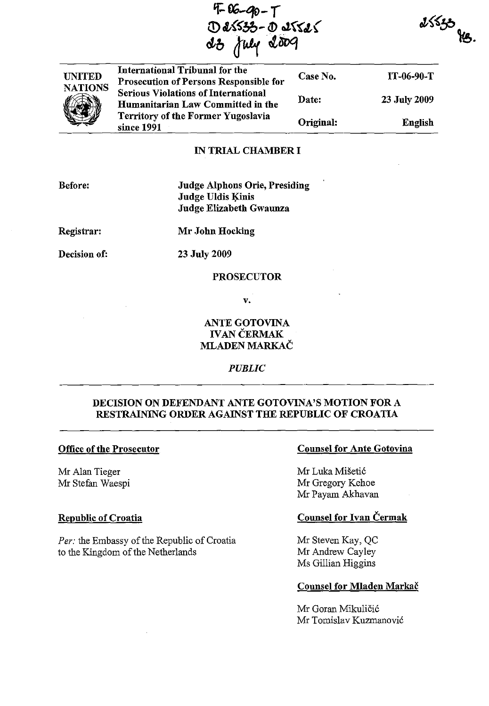$4-06-90-7$ Q)1t{~bO- <sup>&</sup>lt;'!) **o1{'(l,(**  *cJ-b* a~lJvq



International Tribunal for the Prosecution of Persons Responsible for Serious Violations of International Humanitarian Law Committed in the Territory of the Former Yugoslavia since 1991 Case No. Date: Original: IT-06-90-T 23 July 2009 English

## IN TRIAL CHAMBER I

Before:

## Judge Alphons Orie, Presiding Judge Uldis Kinis Judge Elizabeth Gwaunza

Registrar:

Mr John Hocking

Decision of:

23 July 2009

## PROSECUTOR

v.

## ANTE GOTOVINA IVAN CERMAK MLADEN MARKAC

*PUBLIC* 

## DECISION ON DEFENDANT ANTE GOTOVINA'S MOTION FOR A RESTRAINING ORDER AGAINST THE REPUBLIC OF CROATIA

## Office of the Prosecutor

Mr Alan Tieger Mr Stefan Waespi

## Republic of Croatia

*Per:* the Embassy of the Republic of Croatia to the Kingdom of the Netherlands

## Counsel for Ante Gotovina

 $2553$ 

Mr Luka Mišetić Mr Gregory Kehoe Mr Payam Akhavan

## Counsel for Ivan Cermak

Mr Steven Kay, QC Mr Andrew Cayley Ms Gillian Higgins

#### Counsel for Mladen Markac

Mr Goran Mikuličić Mr Tomislav Kuzmanovic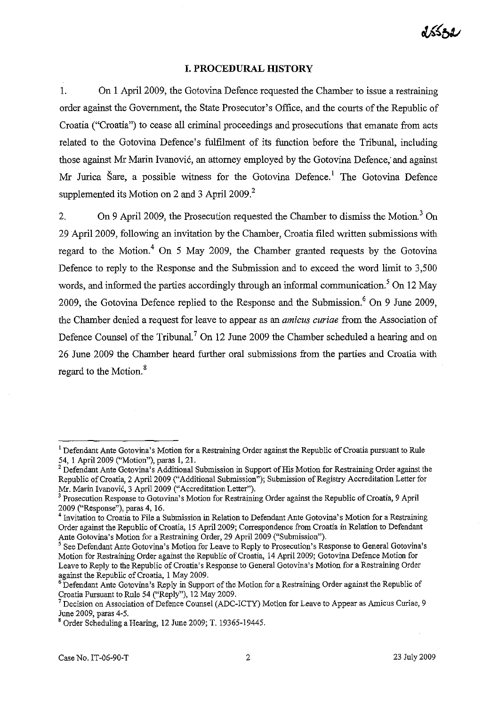# dssza

#### **I. PROCEDURAL HISTORY**

1. On 1 April 2009, the Gotovina Defence requested the Chamber to issue a restraining order against the Government, the State Prosecutor's Office, and the courts of the Republic of Croatia ("Croatia") to cease all criminal proceedings and prosecutions that emanate from acts related to the Gotovina Defence's fulfilment of its function before the Tribunal, including those against Mr Marin Ivanović, an attorney employed by the Gotovina Defence, and against Mr Jurica Šare, a possible witness for the Gotovina Defence.<sup>1</sup> The Gotovina Defence supplemented its Motion on 2 and 3 April 2009.<sup>2</sup>

2. On 9 April 2009, the Prosecution requested the Chamber to dismiss the Motion.<sup>3</sup> On 29 April 2009, following an invitation by the Chamber, Croatia filed written submissions with regard to the Motion.<sup>4</sup> On 5 May 2009, the Chamber granted requests by the Gotovina Defence to reply to the Response and the Submission and to exceed the word limit to 3,500 words, and informed the parties accordingly through an informal communication.<sup>5</sup> On 12 May 2009, the Gotovina Defence replied to the Response and the Submission. $6$  On 9 June 2009, the Chamber denied a request for leave to appear as an *amicus curiae* from the Association of Defence Counsel of the Tribunal.<sup>7</sup> On 12 June 2009 the Chamber scheduled a hearing and on 26 June 2009 the Chamber heard further oral submissions from the parties and Croatia with regard to the Motion.<sup>8</sup>

<sup>&</sup>lt;sup>1</sup> Defendant Ante Gotovina's Motion for a Restraining Order against the Republic of Croatia pursuant to Rule 54, I April 2009 ("Motion"), paras I, 21.

<sup>&</sup>lt;sup>2</sup> Defendant Ante Gotovina's Additional Submission in Support of His Motion for Restraining Order against the Republic of Croatia, 2 April 2009 ("Additional Submission"); Submission of Registry Accreditation Letter for Mr. Marin Ivanovi6, 3 April 2009 ("Accreditation Letter").

 $3$  Prosecution Response to Gotovina's Motion for Restraining Order against the Republic of Croatia, 9 April 2009 ("Response"), paras 4, 16.

<sup>&</sup>lt;sup>4</sup> Invitation to Croatia to File a Submission in Relation to Defendant Ante Gotovina's Motion for a Restraining Order against the Republic of Croatia, 15 Apri12009; Correspondence from Croatia in Relation to Defendant Ante Gotovina's Motion for a Restraining Order, 29 April 2009 ("Submission").

 $<sup>5</sup>$  See Defendant Ante Gotovina's Motion for Leave to Reply to Prosecution's Response to General Gotovina's</sup> Motion for Restraining Order against the Republic of Croatia, 14 April 2009; Gotovina Defence Motion for Leave to Reply to the Republic of Croatia's Response to General Gotovina's Motion for a Restraining Order against the Republic of Croatia, 1 May 2009.

<sup>&</sup>lt;sup>6</sup> Defendant Ante Gotovina's Reply in Support of the Motion for a Restraining Order against the Republic of Croatia Pursuant to Rule 54 ("Reply"), 12 May 2009.

<sup>7</sup> Decision on Association of Defence Counsel (ADC-ICTY) Motion for Leave to Appear as Amicus Curiae, 9 June 2009, paras 4-5.

<sup>&</sup>lt;sup>8</sup> Order Scheduling a Hearing, 12 June 2009; T. 19365-19445.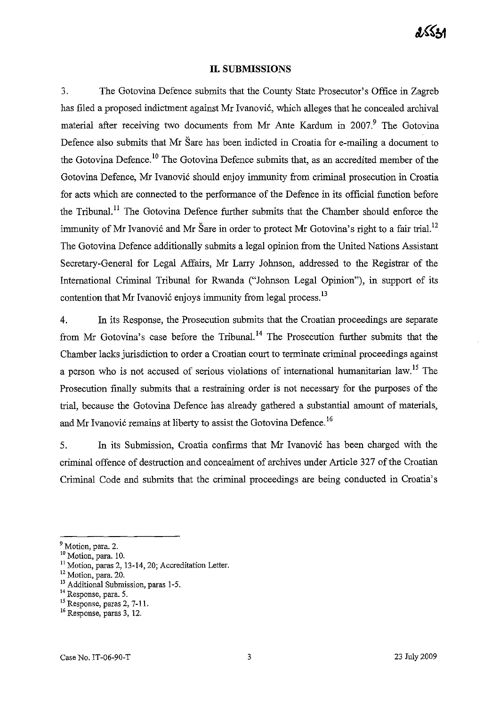#### **II. SUBMISSIONS**

3. The Gotovina Defence submits that the County State Prosecutor's Office in Zagreb has filed a proposed indictment against Mr Ivanović, which alleges that he concealed archival material after receiving two documents from Mr Ante Kardum in  $2007<sup>9</sup>$  The Gotovina Defence also submits that Mr Sare has been indicted in Croatia for e-mailing a document to the Gotovina Defence.<sup>10</sup> The Gotovina Defence submits that, as an accredited member of the Gotovina Defence, Mr Ivanović should enjoy immunity from criminal prosecution in Croatia for acts which are connected to the performance of the Defence in its official function before the Tribunal.<sup>11</sup> The Gotovina Defence further submits that the Chamber should enforce the immunity of Mr Ivanović and Mr Šare in order to protect Mr Gotovina's right to a fair trial.<sup>12</sup> The Gotovina Defence additionally submits a legal opinion from the United Nations Assistant Secretary-General for Legal Affairs, Mr Larry Johnson, addressed to the Registrar of the International Criminal Tribunal for Rwanda ("Johnson Legal Opinion"), in support of its contention that Mr Ivanović enjoys immunity from legal process.<sup>13</sup>

4. In its Response, the Prosecution submits that the Croatian proceedings are separate from Mr Gotovina's case before the Tribunal. 14 The Prosecution further submits that the Chamber lacks jurisdiction to order a Croatian court to terminate criminal proceedings against a person who is not accused of serious violations of international humanitarian law.<sup>15</sup> The Prosecution finally submits that a restraining order is not necessary for the purposes of the trial, because the Gotovina Defence has already gathered a substantial amount of materials, and Mr Ivanović remains at liberty to assist the Gotovina Defence.<sup>16</sup>

5. In its Submission, Croatia confirms that Mr Ivanovi6 has been charged with the criminal offence of destruction and concealment of archives under Article 327 of the Croatian Criminal Code and submits that the criminal proceedings are being conducted in Croatia's

<sup>13</sup> Additional Submission, paras 1-5.

<sup>&</sup>lt;sup>9</sup> Motion, para. 2.

<sup>&</sup>lt;sup>10</sup> Motion, para. 10.

 $11$  Motion, paras 2, 13-14, 20; Accreditation Letter.

<sup>&</sup>lt;sup>12</sup> Motion, para. 20.

**<sup>14</sup> Response, para. 5.** 

<sup>&</sup>lt;sup>15</sup> Response, paras 2, 7-11.

<sup>&</sup>lt;sup>16</sup> Response, paras 3, 12.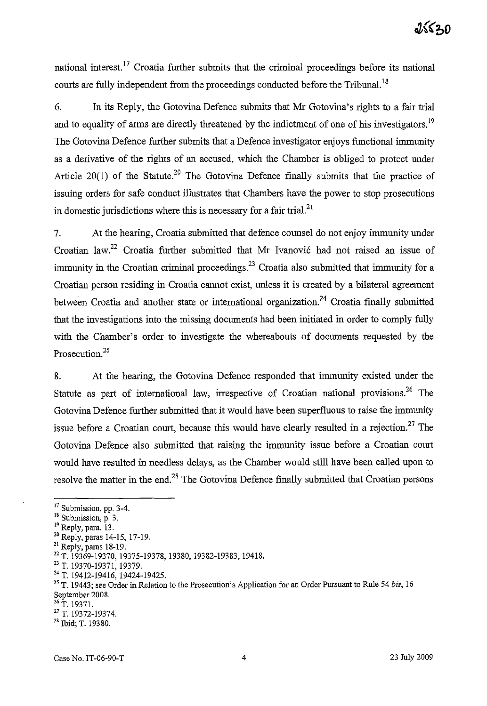national interest.<sup>17</sup> Croatia further submits that the criminal proceedings before its national courts are fully independent from the proceedings conducted before the Tribunal.<sup>18</sup>

6. In its Reply, the Gotovina Defence submits that Mr Gotovina's rights to a fair trial and to equality of arms are directly threatened by the indictment of one of his investigators.<sup>19</sup> The Gotovina Defence further submits that a Defence investigator enjoys functional immunity as a derivative of the rights of an accused, which the Chamber is obliged to protect under Article 20(1) of the Statute.<sup>20</sup> The Gotovina Defence finally submits that the practice of issuing orders for safe conduct illustrates that Chambers have the power to stop prosecutions in domestic jurisdictions where this is necessary for a fair trial. $^{21}$ 

7. At the hearing, Croatia submitted that defence counsel do not enjoy immunity under Croatian law.<sup>22</sup> Croatia further submitted that Mr Ivanović had not raised an issue of immunity in the Croatian criminal proceedings.<sup>23</sup> Croatia also submitted that immunity for a Croatian person residing in Croatia cannot exist, unless it is created by a bilateral agreement between Croatia and another state or international organization.<sup>24</sup> Croatia finally submitted that the investigations into the missing documents had been initiated in order to comply fully with the Chamber's order to investigate the whereabouts of documents requested by the Prosecution.<sup>25</sup>

8. At the hearing, the Gotovina Defence responded that immunity existed under the Statute as part of international law, irrespective of Croatian national provisions.<sup>26</sup> The Gotovina Defence further submitted that it would have been superfluous to raise the immunity issue before a Croatian court, because this would have clearly resulted in a rejection.<sup>27</sup> The Gotovina Defence also submitted that raising the immunity issue before a Croatian court would have resulted in needless delays, as the Chamber would still have been called upon to resolve the matter in the end.<sup>28</sup> The Gotovina Defence finally submitted that Croatian persons

<sup>&</sup>lt;sup>17</sup> Submission, pp. 3-4.

<sup>18</sup> Submission, p. 3.

<sup>&</sup>lt;sup>19</sup> Reply, para. 13.

<sup>20</sup> Reply, paras 14-15,17-19.

<sup>&</sup>lt;sup>21</sup> Reply, paras 18-19.

<sup>22</sup> T. 19369-19370, 19375-19378, 19380, 19382-19383, 19418.

<sup>23</sup> T. 19370-19371, 19379.

<sup>24</sup> T. 19412-19416, 19424-19425.

<sup>&</sup>lt;sup>25</sup> T. 19443; see Order in Relation to the Prosecution's Application for an Order Pursuant to Rule 54 *bis*, 16 September 2008.

 $^{26}$  T. 19371.

<sup>27</sup> T. 19372-19374.

<sup>&</sup>lt;sup>28</sup> Ibid; T. 19380.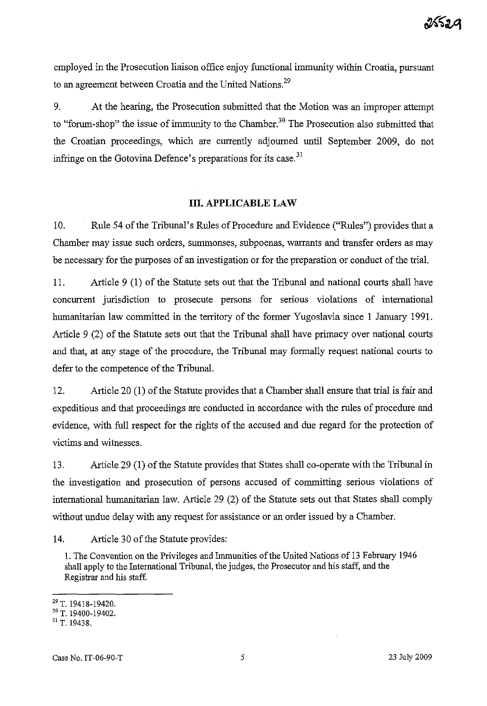employed in the Prosecution liaison office enjoy functional immunity within Croatia, pursuant to an agreement between Croatia and the United Nations.<sup>29</sup>

9. At the hearing, the Prosecution submitted that the Motion was an improper attempt to "forum-shop" the issue of immunity to the Chamber.<sup>30</sup> The Prosecution also submitted that the Croatian proceedings, which are currently adjourned until September 2009, do not infringe on the Gotovina Defence's preparations for its case.<sup>31</sup>

## **1lI. APPLICABLE LAW**

10. Rule 54 of the Tribunal's Rules of Procedure and Evidence ("Rules") provides that a Chamber may issue such orders, sunnnonses, subpoenas, warrants and transfer orders as may be necessary for the purposes of an investigation or for the preparation or conduct of the trial.

II. Article 9 (1) of the Statute sets out that the Tribunal and national courts shall have concurrent jurisdiction to prosecute persons for serious violations of international humanitarian law committed in the territory of the former Yugoslavia since I January 1991. Article 9 (2) of the Statute sets out that the Tribunal shall have primacy over national courts and that, at any stage of the procedure, the Tribunal may formally request national courts to defer to the competence of the Tribunal.

12. Article 20 (1) of the Statute provides that a Chamber shall ensure that trial is fair and expeditious and that proceedings are conducted in accordance with the rules of procedure and evidence, with full respect for the rights of the accused and due regard for the protection of victims and witnesses.

13. Article 29 (1) of the Statute provides that States shall co-operate with the Tribunal in the investigation and prosecution of persons accused of committing serious violations of international humanitarian law. Article 29 (2) of the Statute sets out that States shall comply without undue delay with any request for assistance or an order issued by a Chamber.

14. Article 30 of the Statute provides:

1. The Convention on the Privileges and Immunities of the United Nations of 13 February 1946 shall apply to the International Tribunal, the judges, the Prosecutor and his staff, and the Registrar and his staff.

<sup>29</sup> T. 19418-19420.

<sup>30</sup> T. 19400-19402.

<sup>31</sup> T. 19438.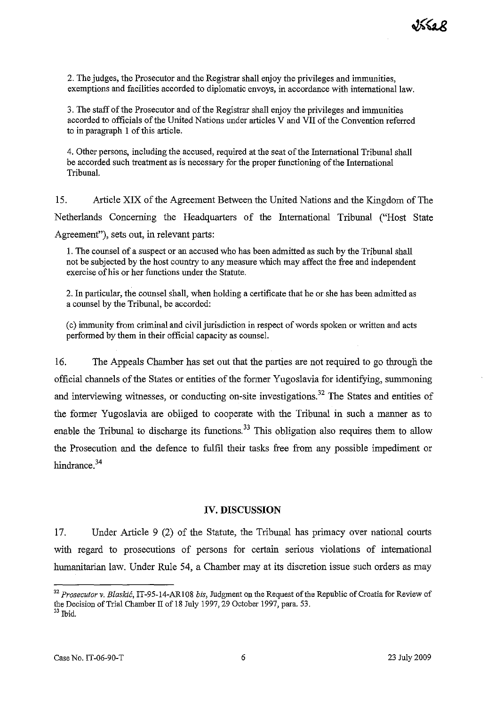2. The judges, the Prosecutor and the Registrar shall enjoy the privileges and immunities, exemptions and facilities accorded to diplomatic envoys, in accordance with international law.

3. The staff of the Prosecutor and of the Registrar shall enjoy the privileges and immunities accorded to officials of the United Nations under articles V and VII of the Convention referred to in paragraph 1 of this article.

4. Other persons, including the accused, required at the seat of the International Tribunal shall be accorded such treatment as is necessary for the proper functioning of the International Tribunal.

15. Article XIX of the Agreement Between the United Nations and the Kingdom of The Netherlands Concerning the Headquarters of the International Tribunal ("Host State Agreement"), sets out, in relevant parts:

1. The counsel of a suspect or an accused who has been admitted as such by the Tribunal shall not be subjected by the host country to any measure which may affect the free and independent exercise of his or her functions under the Statute.

2. In particular, the counsel shall, when holding a certificate that he or she has been admitted as a counsel by the Tribunal, be accorded:

(c) immunity from criminal and civil jurisdiction in respect of words spoken or written and acts performed by them in their official capacity as counsel.

16. The Appeals Chamber has set out that the parties are not required to go through the official channels of the States or entities of the former Yugoslavia for identifying, summoning and interviewing witnesses, or conducting on-site investigations.<sup>32</sup> The States and entities of the former Yugoslavia are obliged to cooperate with the Tribunal in such a manner as to enable the Tribunal to discharge its functions.<sup>33</sup> This obligation also requires them to allow the Prosecution and the defence to fulfil their tasks free from any possible impediment or hindrance.<sup>34</sup>

#### **IV. DISCUSSION**

17. Under Article 9 (2) of the Statute, the Tribunal has primacy over national courts with regard to prosecutions of persons for certain serious violations of international humanitarian law. Under Rule 54, a Chamber may at its discretion issue such orders as may

<sup>32</sup>*Prosecutor v. Blaskic,* IT-95-14-ARI08 *bis,* Judgment on the Request of the Republic of Croatia for Review of the Decision of Trial Chamber II of 18 July 1997, 29 October 1997, para. 53.  $33$  Ibid.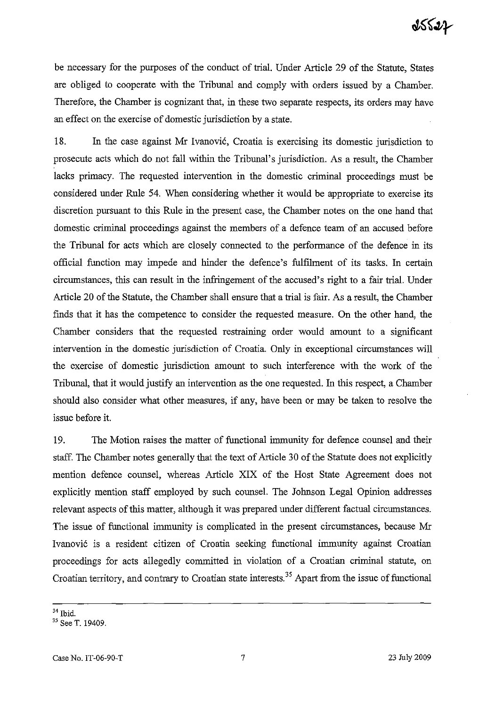be necessary for the purposes of the conduct of trial. Under Article 29 of the Statute, States are obliged to cooperate with the Tribunal and comply with orders issued by a Chamber. Therefore, the Chamber is cognizant that, in these two separate respects, its orders may have an effect on the exercise of domestic jurisdiction by a state.

18. In the case against Mr Ivanović, Croatia is exercising its domestic jurisdiction to prosecute acts which do not fall within the Tribunal's jurisdiction. As a result, the Chamber lacks primacy. The requested intervention in the domestic criminal proceedings must be considered under Rule 54. When considering whether it would be appropriate to exercise its discretion pursuant to this Rule in the present case, the Chamber notes on the one hand that domestic criminal proceedings against the members of a defence team of an accused before the Tribunal for acts which are closely connected to the performance of the defence in its official function may impede and hinder the defence's fulfilment of its tasks. In certain circumstances, this can result in the infringement of the accused's right to a fair trial. Under Article 20 of the Statute, the Chamber shall ensure that a trial is fair. As a result, the Chamber finds that it has the competence to consider the requested measure. On the other hand, the Chamber considers that the requested restraining order would amount to a significant intervention in the domestic jurisdiction of Croatia. Only in exceptional circumstances will the exercise of domestic jurisdiction amount to such interference with the work of the Tribunal, that it would justify an intervention as the one requested. In this respect, a Chamber should also consider what other measures, if any, have been or may be taken to resolve the issue before it.

19. The Motion raises the matter of functional immunity for defence counsel and their staff. The Chamber notes generally that the text of Article 30 of the Statute does not explicitly mention defence counsel, whereas Article XIX of the Host State Agreement does not explicitly mention staff employed by such counsel. The Johnson Legal Opinion addresses relevant aspects of this matter, although it was prepared under different factual circumstances. The issue of functional immunity is complicated in the present circumstances, because Mr Ivanovi6 is a resident citizen of Croatia seeking functional immunity against Croatian proceedings for acts allegedly committed in violation of a Croatian criminal statute, on Croatian territory, and contrary to Croatian state interests.35 Apart from the issue of functional

<sup>34</sup> Ibid.

<sup>35</sup> See T. 19409.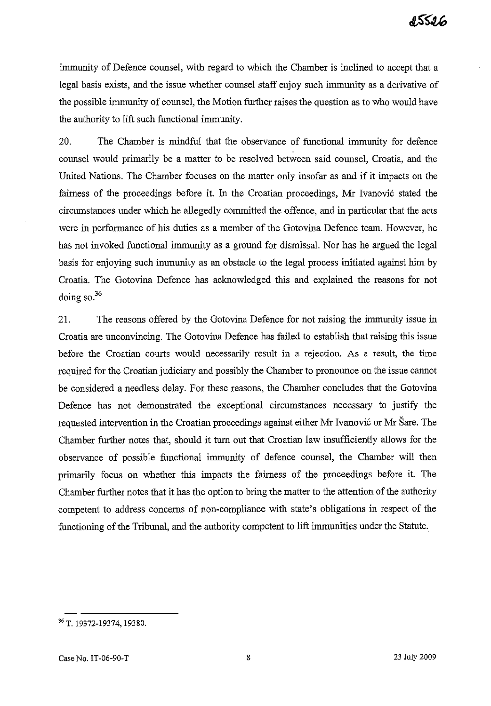immunity of Defence counsel, with regard to which the Chamber is inclined to accept that a legal basis exists, and the issue whether counsel staff enjoy such immunity as a derivative of the possible immunity of counsel, the Motion further raises the question as to who would have the authority to lift such functional immunity.

20. The Chamber is mindful that the observance of functional immunity for defence counsel would primarily be a matter to be resolved between said counsel, Croatia, and the United Nations. The Chamber focuses on the matter only insofar as and if it impacts on the fairness of the proceedings before it. In the Croatian proceedings, Mr Ivanović stated the circumstances under which he allegedly committed the offence, and in particular that the acts were in performance of his duties as a member of the Gotovina Defence team. However, he has not invoked functional immunity as a ground for dismissal. Nor has he argued the legal basis for enjoying such immunity as an obstacle to the legal process initiated against him by Croatia. The Gotovina Defence has acknowledged this and explained the reasons for not doing so.<sup>36</sup>

21. The reasons offered by the Gotovina Defence for not raising the immunity issue in Croatia are unconvincing. The Gotovina Defence has failed to establish that raising this issue before the Croatian courts would necessarily result in a rejection. As a result, the time required for the Croatian judiciary and possibly the Chamber to pronounce on the issue cannot be considered a needless delay. For these reasons, the Chamber concludes that the Gotovina Defence has not demonstrated the exceptional circumstances necessary to justify the requested intervention in the Croatian proceedings against either Mr Ivanović or Mr Šare. The Chamber further notes that, should it turn out that Croatian law insufficiently allows for the observance of possible functional immunity of defence counsel, the Chamber will then primarily focus on whether this impacts the fairness of the proceedings before it. The Chamber further notes that it has the option to bring the matter to the attention of the authority competent to address concerns of non-compliance with state's obligations in respect of the functioning of the Tribunal, and the authority competent to lift immunities under the Statute.

<sup>36</sup> T. 19372-19374,19380.